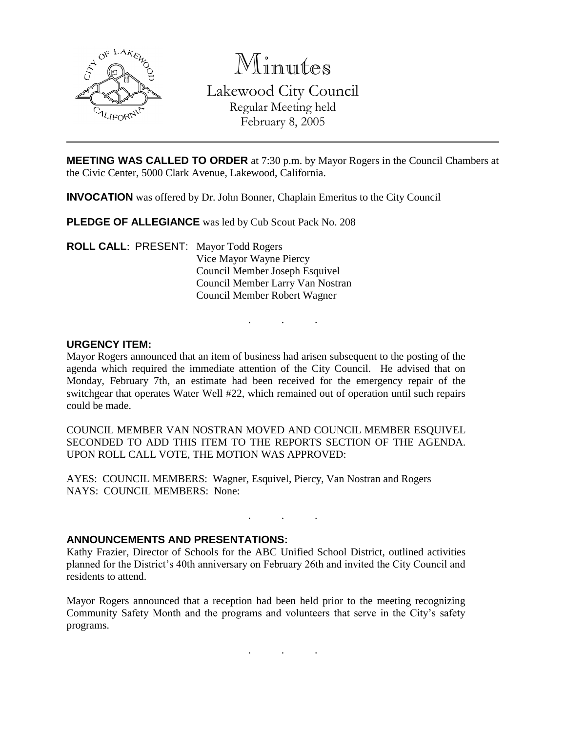

Minutes

Lakewood City Council Regular Meeting held February 8, 2005

**MEETING WAS CALLED TO ORDER** at 7:30 p.m. by Mayor Rogers in the Council Chambers at the Civic Center, 5000 Clark Avenue, Lakewood, California.

**INVOCATION** was offered by Dr. John Bonner, Chaplain Emeritus to the City Council

**PLEDGE OF ALLEGIANCE** was led by Cub Scout Pack No. 208

**ROLL CALL**: PRESENT: Mayor Todd Rogers Vice Mayor Wayne Piercy Council Member Joseph Esquivel Council Member Larry Van Nostran Council Member Robert Wagner

### **URGENCY ITEM:**

Mayor Rogers announced that an item of business had arisen subsequent to the posting of the agenda which required the immediate attention of the City Council. He advised that on Monday, February 7th, an estimate had been received for the emergency repair of the switchgear that operates Water Well #22, which remained out of operation until such repairs could be made.

. . .

COUNCIL MEMBER VAN NOSTRAN MOVED AND COUNCIL MEMBER ESQUIVEL SECONDED TO ADD THIS ITEM TO THE REPORTS SECTION OF THE AGENDA. UPON ROLL CALL VOTE, THE MOTION WAS APPROVED:

AYES: COUNCIL MEMBERS: Wagner, Esquivel, Piercy, Van Nostran and Rogers NAYS: COUNCIL MEMBERS: None:

### **ANNOUNCEMENTS AND PRESENTATIONS:**

Kathy Frazier, Director of Schools for the ABC Unified School District, outlined activities planned for the District's 40th anniversary on February 26th and invited the City Council and residents to attend.

. . .

Mayor Rogers announced that a reception had been held prior to the meeting recognizing Community Safety Month and the programs and volunteers that serve in the City's safety programs.

. . .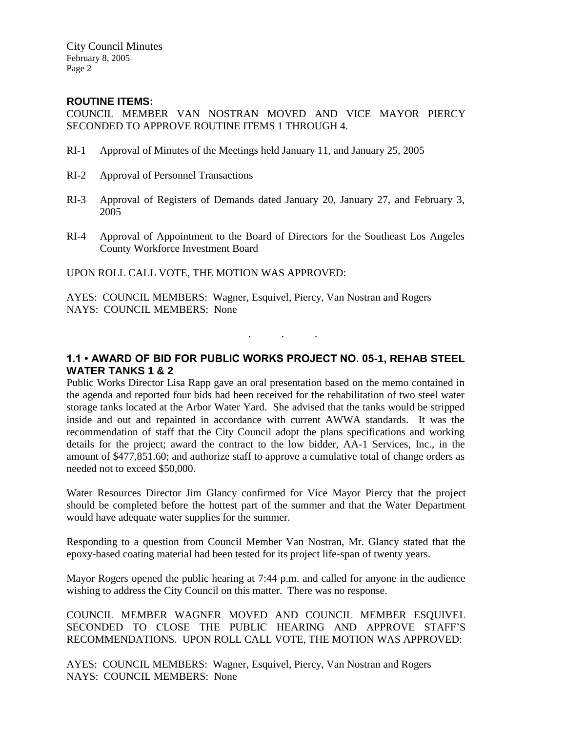City Council Minutes February 8, 2005 Page 2

#### **ROUTINE ITEMS:**

COUNCIL MEMBER VAN NOSTRAN MOVED AND VICE MAYOR PIERCY SECONDED TO APPROVE ROUTINE ITEMS 1 THROUGH 4.

- RI-1 Approval of Minutes of the Meetings held January 11, and January 25, 2005
- RI-2 Approval of Personnel Transactions
- RI-3 Approval of Registers of Demands dated January 20, January 27, and February 3, 2005
- RI-4 Approval of Appointment to the Board of Directors for the Southeast Los Angeles County Workforce Investment Board

UPON ROLL CALL VOTE, THE MOTION WAS APPROVED:

AYES: COUNCIL MEMBERS: Wagner, Esquivel, Piercy, Van Nostran and Rogers NAYS: COUNCIL MEMBERS: None

# **1.1 • AWARD OF BID FOR PUBLIC WORKS PROJECT NO. 05-1, REHAB STEEL WATER TANKS 1 & 2**

. . .

Public Works Director Lisa Rapp gave an oral presentation based on the memo contained in the agenda and reported four bids had been received for the rehabilitation of two steel water storage tanks located at the Arbor Water Yard. She advised that the tanks would be stripped inside and out and repainted in accordance with current AWWA standards. It was the recommendation of staff that the City Council adopt the plans specifications and working details for the project; award the contract to the low bidder, AA-1 Services, Inc., in the amount of \$477,851.60; and authorize staff to approve a cumulative total of change orders as needed not to exceed \$50,000.

Water Resources Director Jim Glancy confirmed for Vice Mayor Piercy that the project should be completed before the hottest part of the summer and that the Water Department would have adequate water supplies for the summer.

Responding to a question from Council Member Van Nostran, Mr. Glancy stated that the epoxy-based coating material had been tested for its project life-span of twenty years.

Mayor Rogers opened the public hearing at 7:44 p.m. and called for anyone in the audience wishing to address the City Council on this matter. There was no response.

COUNCIL MEMBER WAGNER MOVED AND COUNCIL MEMBER ESQUIVEL SECONDED TO CLOSE THE PUBLIC HEARING AND APPROVE STAFF'S RECOMMENDATIONS. UPON ROLL CALL VOTE, THE MOTION WAS APPROVED:

AYES: COUNCIL MEMBERS: Wagner, Esquivel, Piercy, Van Nostran and Rogers NAYS: COUNCIL MEMBERS: None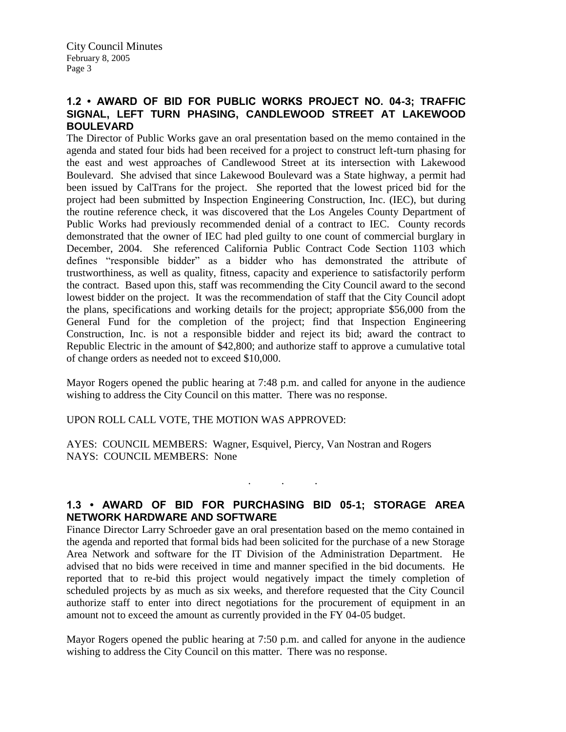## **1.2 • AWARD OF BID FOR PUBLIC WORKS PROJECT NO. 04-3; TRAFFIC SIGNAL, LEFT TURN PHASING, CANDLEWOOD STREET AT LAKEWOOD BOULEVARD**

The Director of Public Works gave an oral presentation based on the memo contained in the agenda and stated four bids had been received for a project to construct left-turn phasing for the east and west approaches of Candlewood Street at its intersection with Lakewood Boulevard. She advised that since Lakewood Boulevard was a State highway, a permit had been issued by CalTrans for the project. She reported that the lowest priced bid for the project had been submitted by Inspection Engineering Construction, Inc. (IEC), but during the routine reference check, it was discovered that the Los Angeles County Department of Public Works had previously recommended denial of a contract to IEC. County records demonstrated that the owner of IEC had pled guilty to one count of commercial burglary in December, 2004. She referenced California Public Contract Code Section 1103 which defines "responsible bidder" as a bidder who has demonstrated the attribute of trustworthiness, as well as quality, fitness, capacity and experience to satisfactorily perform the contract. Based upon this, staff was recommending the City Council award to the second lowest bidder on the project. It was the recommendation of staff that the City Council adopt the plans, specifications and working details for the project; appropriate \$56,000 from the General Fund for the completion of the project; find that Inspection Engineering Construction, Inc. is not a responsible bidder and reject its bid; award the contract to Republic Electric in the amount of \$42,800; and authorize staff to approve a cumulative total of change orders as needed not to exceed \$10,000.

Mayor Rogers opened the public hearing at 7:48 p.m. and called for anyone in the audience wishing to address the City Council on this matter. There was no response.

UPON ROLL CALL VOTE, THE MOTION WAS APPROVED:

AYES: COUNCIL MEMBERS: Wagner, Esquivel, Piercy, Van Nostran and Rogers NAYS: COUNCIL MEMBERS: None

## **1.3 • AWARD OF BID FOR PURCHASING BID 05-1; STORAGE AREA NETWORK HARDWARE AND SOFTWARE**

. . .

Finance Director Larry Schroeder gave an oral presentation based on the memo contained in the agenda and reported that formal bids had been solicited for the purchase of a new Storage Area Network and software for the IT Division of the Administration Department. He advised that no bids were received in time and manner specified in the bid documents. He reported that to re-bid this project would negatively impact the timely completion of scheduled projects by as much as six weeks, and therefore requested that the City Council authorize staff to enter into direct negotiations for the procurement of equipment in an amount not to exceed the amount as currently provided in the FY 04-05 budget.

Mayor Rogers opened the public hearing at 7:50 p.m. and called for anyone in the audience wishing to address the City Council on this matter. There was no response.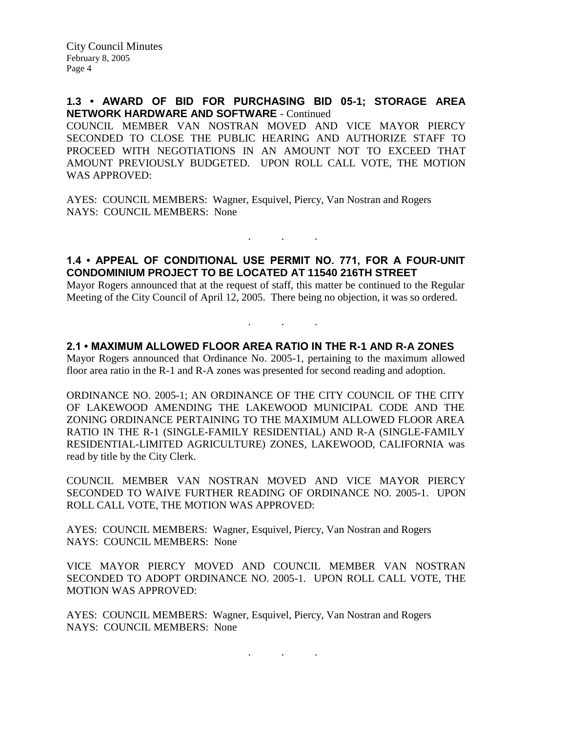### **1.3 • AWARD OF BID FOR PURCHASING BID 05-1; STORAGE AREA NETWORK HARDWARE AND SOFTWARE** - Continued

COUNCIL MEMBER VAN NOSTRAN MOVED AND VICE MAYOR PIERCY SECONDED TO CLOSE THE PUBLIC HEARING AND AUTHORIZE STAFF TO PROCEED WITH NEGOTIATIONS IN AN AMOUNT NOT TO EXCEED THAT AMOUNT PREVIOUSLY BUDGETED. UPON ROLL CALL VOTE, THE MOTION WAS APPROVED:

AYES: COUNCIL MEMBERS: Wagner, Esquivel, Piercy, Van Nostran and Rogers NAYS: COUNCIL MEMBERS: None

### **1.4 • APPEAL OF CONDITIONAL USE PERMIT NO. 771, FOR A FOUR-UNIT CONDOMINIUM PROJECT TO BE LOCATED AT 11540 216TH STREET**

. . .

Mayor Rogers announced that at the request of staff, this matter be continued to the Regular Meeting of the City Council of April 12, 2005. There being no objection, it was so ordered.

. . .

### **2.1 • MAXIMUM ALLOWED FLOOR AREA RATIO IN THE R-1 AND R-A ZONES**

Mayor Rogers announced that Ordinance No. 2005-1, pertaining to the maximum allowed floor area ratio in the R-1 and R-A zones was presented for second reading and adoption.

ORDINANCE NO. 2005-1; AN ORDINANCE OF THE CITY COUNCIL OF THE CITY OF LAKEWOOD AMENDING THE LAKEWOOD MUNICIPAL CODE AND THE ZONING ORDINANCE PERTAINING TO THE MAXIMUM ALLOWED FLOOR AREA RATIO IN THE R-1 (SINGLE-FAMILY RESIDENTIAL) AND R-A (SINGLE-FAMILY RESIDENTIAL-LIMITED AGRICULTURE) ZONES, LAKEWOOD, CALIFORNIA was read by title by the City Clerk.

COUNCIL MEMBER VAN NOSTRAN MOVED AND VICE MAYOR PIERCY SECONDED TO WAIVE FURTHER READING OF ORDINANCE NO. 2005-1. UPON ROLL CALL VOTE, THE MOTION WAS APPROVED:

AYES: COUNCIL MEMBERS: Wagner, Esquivel, Piercy, Van Nostran and Rogers NAYS: COUNCIL MEMBERS: None

VICE MAYOR PIERCY MOVED AND COUNCIL MEMBER VAN NOSTRAN SECONDED TO ADOPT ORDINANCE NO. 2005-1. UPON ROLL CALL VOTE, THE MOTION WAS APPROVED:

. . .

AYES: COUNCIL MEMBERS: Wagner, Esquivel, Piercy, Van Nostran and Rogers NAYS: COUNCIL MEMBERS: None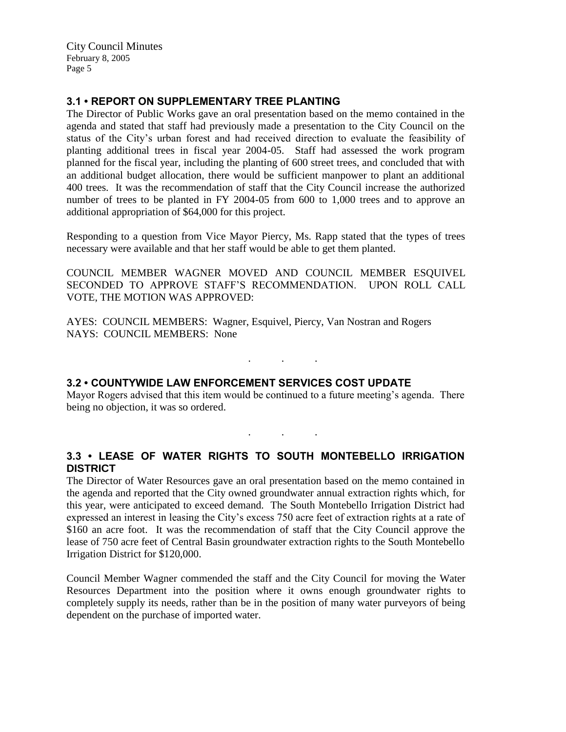City Council Minutes February 8, 2005 Page 5

## **3.1 • REPORT ON SUPPLEMENTARY TREE PLANTING**

The Director of Public Works gave an oral presentation based on the memo contained in the agenda and stated that staff had previously made a presentation to the City Council on the status of the City's urban forest and had received direction to evaluate the feasibility of planting additional trees in fiscal year 2004-05. Staff had assessed the work program planned for the fiscal year, including the planting of 600 street trees, and concluded that with an additional budget allocation, there would be sufficient manpower to plant an additional 400 trees. It was the recommendation of staff that the City Council increase the authorized number of trees to be planted in FY 2004-05 from 600 to 1,000 trees and to approve an additional appropriation of \$64,000 for this project.

Responding to a question from Vice Mayor Piercy, Ms. Rapp stated that the types of trees necessary were available and that her staff would be able to get them planted.

COUNCIL MEMBER WAGNER MOVED AND COUNCIL MEMBER ESQUIVEL SECONDED TO APPROVE STAFF'S RECOMMENDATION. UPON ROLL CALL VOTE, THE MOTION WAS APPROVED:

AYES: COUNCIL MEMBERS: Wagner, Esquivel, Piercy, Van Nostran and Rogers NAYS: COUNCIL MEMBERS: None

# **3.2 • COUNTYWIDE LAW ENFORCEMENT SERVICES COST UPDATE**

Mayor Rogers advised that this item would be continued to a future meeting's agenda. There being no objection, it was so ordered.

. . .

. . .

### **3.3 • LEASE OF WATER RIGHTS TO SOUTH MONTEBELLO IRRIGATION DISTRICT**

The Director of Water Resources gave an oral presentation based on the memo contained in the agenda and reported that the City owned groundwater annual extraction rights which, for this year, were anticipated to exceed demand. The South Montebello Irrigation District had expressed an interest in leasing the City's excess 750 acre feet of extraction rights at a rate of \$160 an acre foot. It was the recommendation of staff that the City Council approve the lease of 750 acre feet of Central Basin groundwater extraction rights to the South Montebello Irrigation District for \$120,000.

Council Member Wagner commended the staff and the City Council for moving the Water Resources Department into the position where it owns enough groundwater rights to completely supply its needs, rather than be in the position of many water purveyors of being dependent on the purchase of imported water.